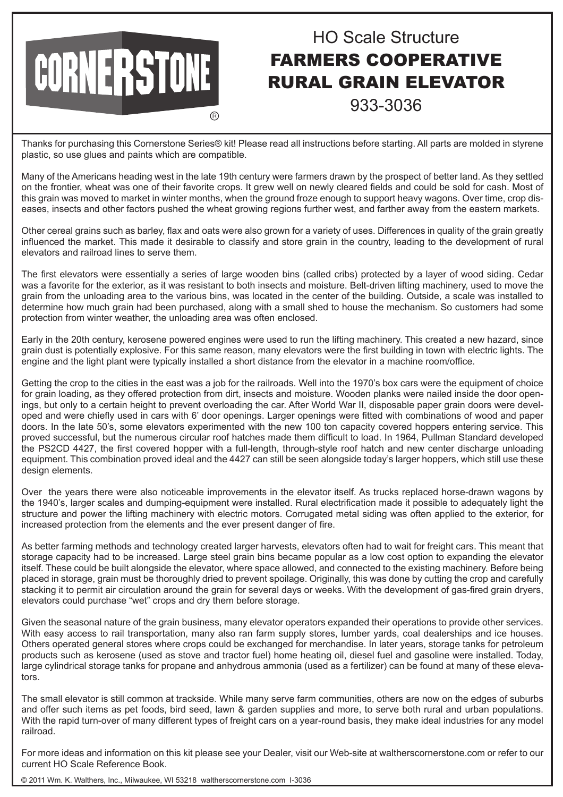## HO Scale Structure FARMERS COOPERATIVE RURAL GRAIN ELEVATOR 933-3036

Thanks for purchasing this Cornerstone Series® kit! Please read all instructions before starting. All parts are molded in styrene plastic, so use glues and paints which are compatible.

**A** 

**CORNERSTONE** 

Many of the Americans heading west in the late 19th century were farmers drawn by the prospect of better land. As they settled on the frontier, wheat was one of their favorite crops. It grew well on newly cleared fields and could be sold for cash. Most of this grain was moved to market in winter months, when the ground froze enough to support heavy wagons. Over time, crop diseases, insects and other factors pushed the wheat growing regions further west, and farther away from the eastern markets.

Other cereal grains such as barley, flax and oats were also grown for a variety of uses. Differences in quality of the grain greatly influenced the market. This made it desirable to classify and store grain in the country, leading to the development of rural elevators and railroad lines to serve them.

The first elevators were essentially a series of large wooden bins (called cribs) protected by a layer of wood siding. Cedar was a favorite for the exterior, as it was resistant to both insects and moisture. Belt-driven lifting machinery, used to move the grain from the unloading area to the various bins, was located in the center of the building. Outside, a scale was installed to determine how much grain had been purchased, along with a small shed to house the mechanism. So customers had some protection from winter weather, the unloading area was often enclosed.

Early in the 20th century, kerosene powered engines were used to run the lifting machinery. This created a new hazard, since grain dust is potentially explosive. For this same reason, many elevators were the first building in town with electric lights. The engine and the light plant were typically installed a short distance from the elevator in a machine room/office.

Getting the crop to the cities in the east was a job for the railroads. Well into the 1970's box cars were the equipment of choice for grain loading, as they offered protection from dirt, insects and moisture. Wooden planks were nailed inside the door openings, but only to a certain height to prevent overloading the car. After World War II, disposable paper grain doors were developed and were chiefly used in cars with 6' door openings. Larger openings were fitted with combinations of wood and paper doors. In the late 50's, some elevators experimented with the new 100 ton capacity covered hoppers entering service. This proved successful, but the numerous circular roof hatches made them difficult to load. In 1964, Pullman Standard developed the PS2CD 4427, the first covered hopper with a full-length, through-style roof hatch and new center discharge unloading equipment. This combination proved ideal and the 4427 can still be seen alongside today's larger hoppers, which still use these design elements.

Over the years there were also noticeable improvements in the elevator itself. As trucks replaced horse-drawn wagons by the 1940's, larger scales and dumping-equipment were installed. Rural electrification made it possible to adequately light the structure and power the lifting machinery with electric motors. Corrugated metal siding was often applied to the exterior, for increased protection from the elements and the ever present danger of fire.

As better farming methods and technology created larger harvests, elevators often had to wait for freight cars. This meant that storage capacity had to be increased. Large steel grain bins became popular as a low cost option to expanding the elevator itself. These could be built alongside the elevator, where space allowed, and connected to the existing machinery. Before being placed in storage, grain must be thoroughly dried to prevent spoilage. Originally, this was done by cutting the crop and carefully stacking it to permit air circulation around the grain for several days or weeks. With the development of gas-fired grain dryers, elevators could purchase "wet" crops and dry them before storage.

Given the seasonal nature of the grain business, many elevator operators expanded their operations to provide other services. With easy access to rail transportation, many also ran farm supply stores, lumber yards, coal dealerships and ice houses. Others operated general stores where crops could be exchanged for merchandise. In later years, storage tanks for petroleum products such as kerosene (used as stove and tractor fuel) home heating oil, diesel fuel and gasoline were installed. Today, large cylindrical storage tanks for propane and anhydrous ammonia (used as a fertilizer) can be found at many of these elevators.

The small elevator is still common at trackside. While many serve farm communities, others are now on the edges of suburbs and offer such items as pet foods, bird seed, lawn & garden supplies and more, to serve both rural and urban populations. With the rapid turn-over of many different types of freight cars on a year-round basis, they make ideal industries for any model railroad.

For more ideas and information on this kit please see your Dealer, visit our Web-site at waltherscornerstone.com or refer to our current HO Scale Reference Book.

© 2011 Wm. K. Walthers, Inc., Milwaukee, WI 53218 waltherscornerstone.com I-3036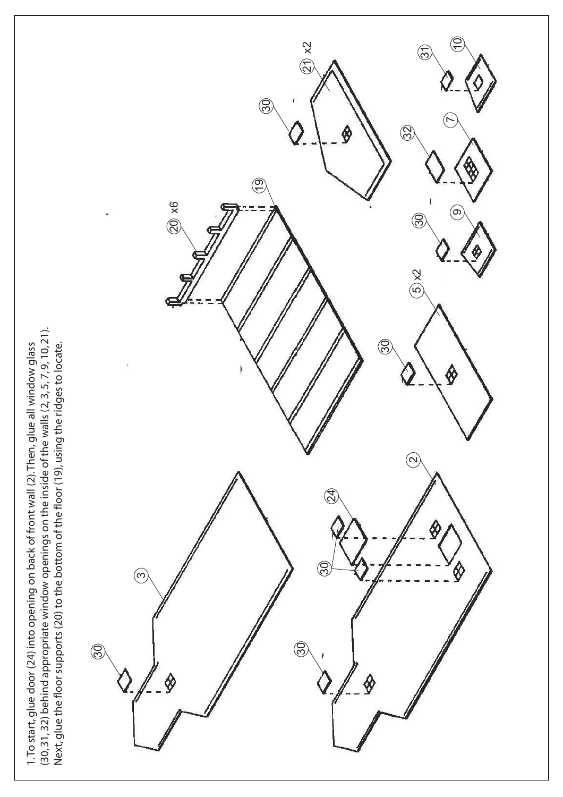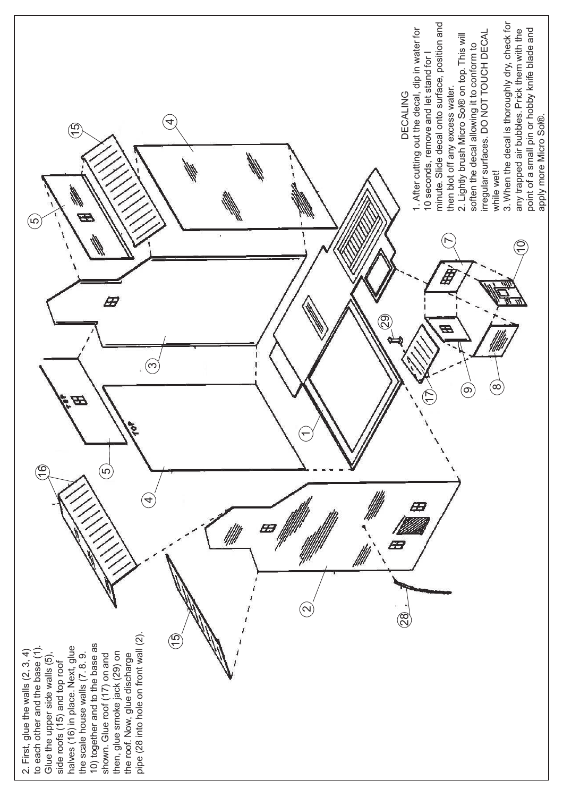